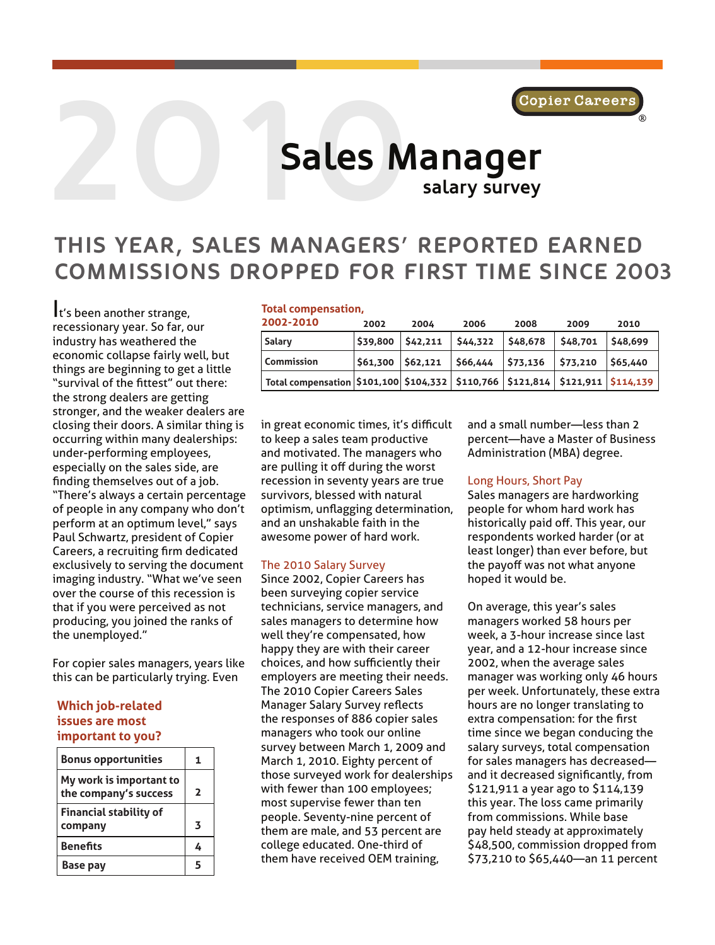

# **2000** Sales N **Sales Manager salary survey**

# **THIS YEAR, SALES MANAGERS' REPORTED EARNED COMMISSIONS DROPPED FOR FIRST TIME SINCE 2003**

It's been another strange, recessionary year. So far, our industry has weathered the economic collapse fairly well, but things are beginning to get a little "survival of the fittest" out there: the strong dealers are getting stronger, and the weaker dealers are closing their doors. A similar thing is occurring within many dealerships: under-performing employees, especially on the sales side, are finding themselves out of a job. "There's always a certain percentage of people in any company who don't perform at an optimum level," says Paul Schwartz, president of Copier Careers, a recruiting firm dedicated exclusively to serving the document imaging industry. "What we've seen over the course of this recession is that if you were perceived as not producing, you joined the ranks of the unemployed."

For copier sales managers, years like this can be particularly trying. Even

#### **Which job-related issues are most important to you?**

| <b>Bonus opportunities</b>                       | 1                       |
|--------------------------------------------------|-------------------------|
| My work is important to<br>the company's success | 2                       |
| <b>Financial stability of</b><br>company         | $\overline{\mathbf{z}}$ |
| <b>Benefits</b>                                  | 4                       |
| <b>Base pay</b>                                  | 5                       |

#### **Total compensation,**

| 2002-2010                                                                      | 2002                | 2004    | 2006     | 2008     | 2009         | 2010    |
|--------------------------------------------------------------------------------|---------------------|---------|----------|----------|--------------|---------|
| Salary                                                                         | \$39,800            | 542,211 | \$44,322 | \$48,678 | \$48,701     | 548,699 |
| <b>Commission</b>                                                              | $561,300$ $562,121$ |         | \$66,444 | \$73,136 | $ $ \$73,210 | 565,440 |
| Total compensation \$101,100 \$104,332 \$110,766 \$121,814 \$121,911 \$114,139 |                     |         |          |          |              |         |

in great economic times, it's difficult to keep a sales team productive and motivated. The managers who are pulling it off during the worst recession in seventy years are true survivors, blessed with natural optimism, unflagging determination, and an unshakable faith in the awesome power of hard work.

#### The 2010 Salary Survey

Since 2002, Copier Careers has been surveying copier service technicians, service managers, and sales managers to determine how well they're compensated, how happy they are with their career choices, and how sufficiently their employers are meeting their needs. The 2010 Copier Careers Sales Manager Salary Survey reflects the responses of 886 copier sales managers who took our online survey between March 1, 2009 and March 1, 2010. Eighty percent of those surveyed work for dealerships with fewer than 100 employees; most supervise fewer than ten people. Seventy-nine percent of them are male, and 53 percent are college educated. One-third of them have received OEM training,

and a small number—less than 2 percent—have a Master of Business Administration (MBA) degree.

#### Long Hours, Short Pay

Sales managers are hardworking people for whom hard work has historically paid off. This year, our respondents worked harder (or at least longer) than ever before, but the payoff was not what anyone hoped it would be.

On average, this year's sales managers worked 58 hours per week, a 3-hour increase since last year, and a 12-hour increase since 2002, when the average sales manager was working only 46 hours per week. Unfortunately, these extra hours are no longer translating to extra compensation: for the first time since we began conducing the salary surveys, total compensation for sales managers has decreased and it decreased significantly, from \$121,911 a year ago to \$114,139 this year. The loss came primarily from commissions. While base pay held steady at approximately \$48,500, commission dropped from \$73,210 to \$65,440—an 11 percent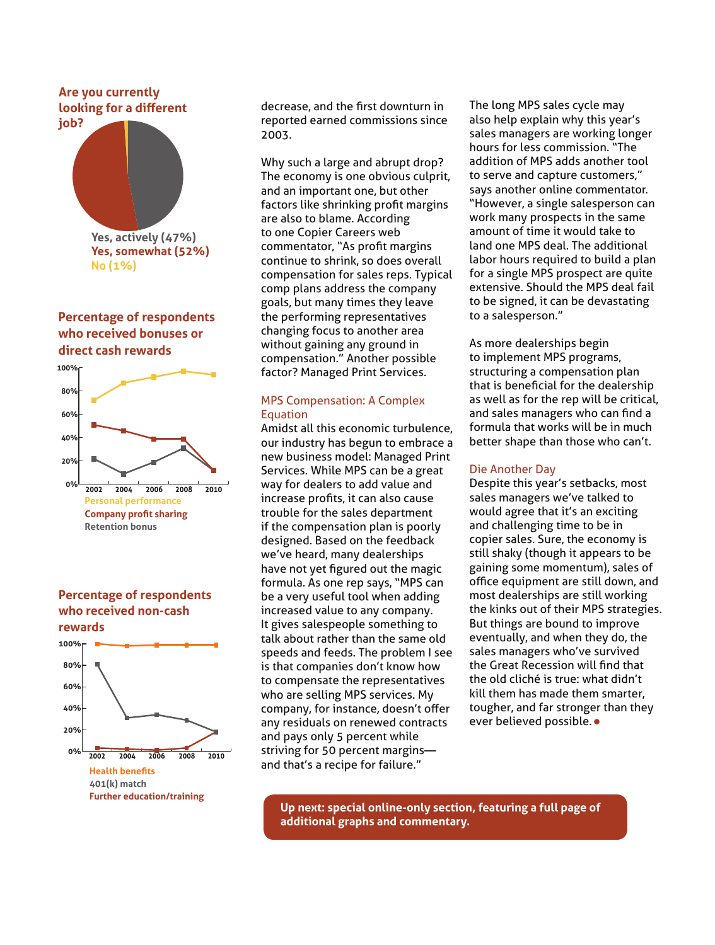#### **Are you currently looking for a different job?**



# **Percentage of respondents who received bonuses or direct cash rewards**



**Percentage of respondents who received non-cash rewards**



decrease, and the first downturn in reported earned commissions since 2003.

Why such a large and abrupt drop? The economy is one obvious culprit, and an important one, but other factors like shrinking profit margins are also to blame. According to one Copier Careers web commentator, "As profit margins continue to shrink, so does overall compensation for sales reps. Typical comp plans address the company goals, but many times they leave the performing representatives changing focus to another area without gaining any ground in compensation." Another possible factor? Managed Print Services.

#### MPS Compensation: A Complex Equation

Amidst all this economic turbulence, our industry has begun to embrace a new business model: Managed Print Services. While MPS can be a great way for dealers to add value and increase profits, it can also cause trouble for the sales department if the compensation plan is poorly designed. Based on the feedback we've heard, many dealerships have not yet figured out the magic formula. As one rep says, "MPS can be a very useful tool when adding increased value to any company. It gives salespeople something to talk about rather than the same old speeds and feeds. The problem I see is that companies don't know how to compensate the representatives who are selling MPS services. My company, for instance, doesn't offer any residuals on renewed contracts and pays only 5 percent while striving for 50 percent margins and that's a recipe for failure."

The long MPS sales cycle may also help explain why this year's sales managers are working longer hours for less commission. "The addition of MPS adds another tool to serve and capture customers," says another online commentator. "However, a single salesperson can work many prospects in the same amount of time it would take to land one MPS deal. The additional labor hours required to build a plan for a single MPS prospect are quite extensive. Should the MPS deal fail to be signed, it can be devastating to a salesperson."

As more dealerships begin to implement MPS programs, structuring a compensation plan that is beneficial for the dealership as well as for the rep will be critical, and sales managers who can find a formula that works will be in much better shape than those who can't.

#### Die Another Day

Despite this year's setbacks, most sales managers we've talked to would agree that it's an exciting and challenging time to be in copier sales. Sure, the economy is still shaky (though it appears to be gaining some momentum), sales of office equipment are still down, and most dealerships are still working the kinks out of their MPS strategies. But things are bound to improve eventually, and when they do, the sales managers who've survived the Great Recession will find that the old cliché is true: what didn't kill them has made them smarter, tougher, and far stronger than they ever believed possible. •

**Up next: special online-only section, featuring a full page of additional graphs and commentary.**